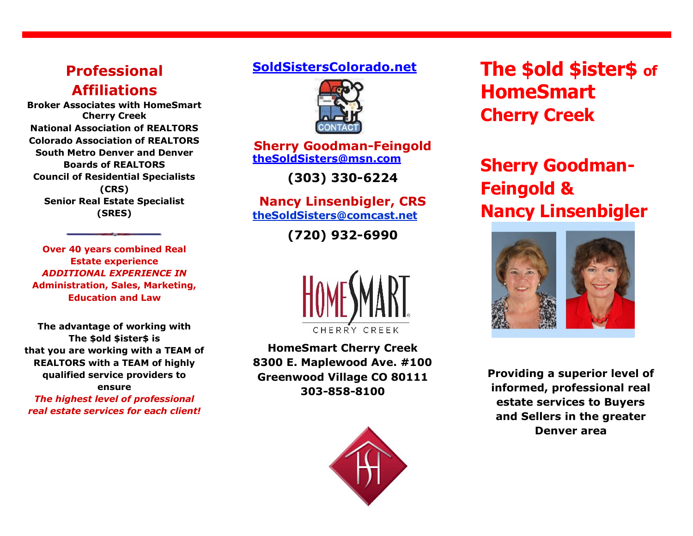### **Professional Affiliations**

**Broker Associates with HomeSmart Cherry Creek National Association of REALTORS Colorado Association of REALTORS South Metro Denver and Denver Boards of REALTORS Council of Residential Specialists (CRS) Senior Real Estate Specialist (SRES)** 

**Over 40 years combined Real Estate experience**  *ADDITIONAL EXPERIENCE IN*  **Administration, Sales, Marketing, Education and Law**

**The advantage of working with The \$old \$ister\$ is that you are working with a TEAM of REALTORS with a TEAM of highly qualified service providers to ensure** 

*The highest level of professional real estate services for each client!*

### **SoldSistersColorado.net**



**Sherry Goodman-Feingold theSoldSisters@msn.com**

**(303) 330-6224**

**Nancy Linsenbigler, CRS theSoldSisters@comcast.net**

**(720) 932-6990** 



**HomeSmart Cherry Creek 8300 E. Maplewood Ave. #100 Greenwood Village CO 80111 303-858-8100**



**The \$old \$ister\$ of HomeSmart Cherry Creek** 

# **Sherry Goodman-Feingold & Nancy Linsenbigler**



**Providing a superior level of informed, professional real estate services to Buyers and Sellers in the greater Denver area**